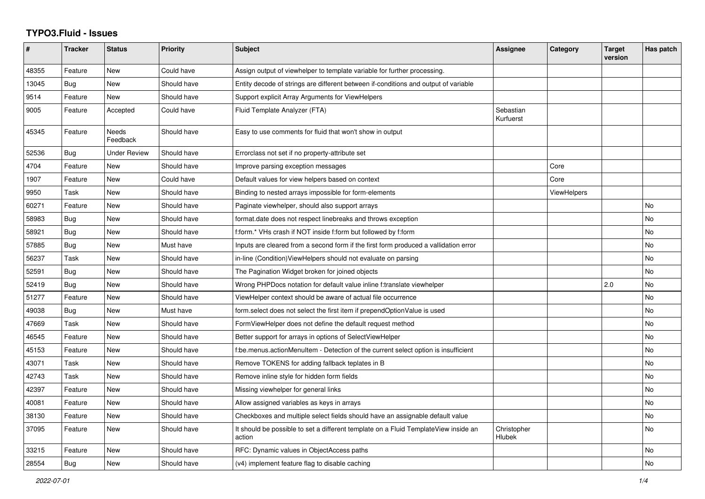## **TYPO3.Fluid - Issues**

| #     | <b>Tracker</b> | <b>Status</b>     | <b>Priority</b> | <b>Subject</b>                                                                                | <b>Assignee</b>        | Category           | <b>Target</b><br>version | Has patch |
|-------|----------------|-------------------|-----------------|-----------------------------------------------------------------------------------------------|------------------------|--------------------|--------------------------|-----------|
| 48355 | Feature        | <b>New</b>        | Could have      | Assign output of viewhelper to template variable for further processing.                      |                        |                    |                          |           |
| 13045 | Bug            | New               | Should have     | Entity decode of strings are different between if-conditions and output of variable           |                        |                    |                          |           |
| 9514  | Feature        | New               | Should have     | Support explicit Array Arguments for ViewHelpers                                              |                        |                    |                          |           |
| 9005  | Feature        | Accepted          | Could have      | Fluid Template Analyzer (FTA)                                                                 | Sebastian<br>Kurfuerst |                    |                          |           |
| 45345 | Feature        | Needs<br>Feedback | Should have     | Easy to use comments for fluid that won't show in output                                      |                        |                    |                          |           |
| 52536 | Bug            | Under Review      | Should have     | Errorclass not set if no property-attribute set                                               |                        |                    |                          |           |
| 4704  | Feature        | New               | Should have     | Improve parsing exception messages                                                            |                        | Core               |                          |           |
| 1907  | Feature        | <b>New</b>        | Could have      | Default values for view helpers based on context                                              |                        | Core               |                          |           |
| 9950  | Task           | New               | Should have     | Binding to nested arrays impossible for form-elements                                         |                        | <b>ViewHelpers</b> |                          |           |
| 60271 | Feature        | New               | Should have     | Paginate viewhelper, should also support arrays                                               |                        |                    |                          | No        |
| 58983 | <b>Bug</b>     | New               | Should have     | format.date does not respect linebreaks and throws exception                                  |                        |                    |                          | <b>No</b> |
| 58921 | Bug            | <b>New</b>        | Should have     | f:form.* VHs crash if NOT inside f:form but followed by f:form                                |                        |                    |                          | No.       |
| 57885 | Bug            | New               | Must have       | Inputs are cleared from a second form if the first form produced a vallidation error          |                        |                    |                          | <b>No</b> |
| 56237 | Task           | New               | Should have     | in-line (Condition) View Helpers should not evaluate on parsing                               |                        |                    |                          | No        |
| 52591 | Bug            | <b>New</b>        | Should have     | The Pagination Widget broken for joined objects                                               |                        |                    |                          | <b>No</b> |
| 52419 | Bug            | New               | Should have     | Wrong PHPDocs notation for default value inline f:translate viewhelper                        |                        |                    | 2.0                      | No        |
| 51277 | Feature        | New               | Should have     | ViewHelper context should be aware of actual file occurrence                                  |                        |                    |                          | No        |
| 49038 | Bug            | New               | Must have       | form.select does not select the first item if prependOptionValue is used                      |                        |                    |                          | No        |
| 47669 | Task           | <b>New</b>        | Should have     | FormViewHelper does not define the default request method                                     |                        |                    |                          | No        |
| 46545 | Feature        | New               | Should have     | Better support for arrays in options of SelectViewHelper                                      |                        |                    |                          | <b>No</b> |
| 45153 | Feature        | New               | Should have     | f:be.menus.actionMenuItem - Detection of the current select option is insufficient            |                        |                    |                          | <b>No</b> |
| 43071 | Task           | New               | Should have     | Remove TOKENS for adding fallback teplates in B                                               |                        |                    |                          | No        |
| 42743 | Task           | <b>New</b>        | Should have     | Remove inline style for hidden form fields                                                    |                        |                    |                          | <b>No</b> |
| 42397 | Feature        | New               | Should have     | Missing viewhelper for general links                                                          |                        |                    |                          | No        |
| 40081 | Feature        | New               | Should have     | Allow assigned variables as keys in arrays                                                    |                        |                    |                          | No        |
| 38130 | Feature        | New               | Should have     | Checkboxes and multiple select fields should have an assignable default value                 |                        |                    |                          | No        |
| 37095 | Feature        | New               | Should have     | It should be possible to set a different template on a Fluid TemplateView inside an<br>action | Christopher<br>Hlubek  |                    |                          | No        |
| 33215 | Feature        | New               | Should have     | RFC: Dynamic values in ObjectAccess paths                                                     |                        |                    |                          | No        |
| 28554 | Bug            | New               | Should have     | (v4) implement feature flag to disable caching                                                |                        |                    |                          | <b>No</b> |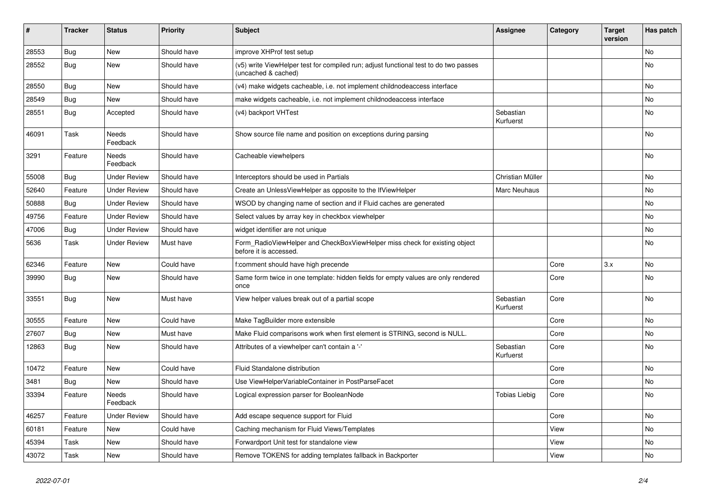| $\vert$ # | <b>Tracker</b> | <b>Status</b>            | <b>Priority</b> | <b>Subject</b>                                                                                              | <b>Assignee</b>        | Category | <b>Target</b><br>version | Has patch |
|-----------|----------------|--------------------------|-----------------|-------------------------------------------------------------------------------------------------------------|------------------------|----------|--------------------------|-----------|
| 28553     | <b>Bug</b>     | <b>New</b>               | Should have     | improve XHProf test setup                                                                                   |                        |          |                          | <b>No</b> |
| 28552     | Bug            | New                      | Should have     | (v5) write ViewHelper test for compiled run; adjust functional test to do two passes<br>(uncached & cached) |                        |          |                          | <b>No</b> |
| 28550     | <b>Bug</b>     | New                      | Should have     | (v4) make widgets cacheable, i.e. not implement childnodeaccess interface                                   |                        |          |                          | No        |
| 28549     | Bug            | New                      | Should have     | make widgets cacheable, i.e. not implement childnodeaccess interface                                        |                        |          |                          | No        |
| 28551     | Bug            | Accepted                 | Should have     | (v4) backport VHTest                                                                                        | Sebastian<br>Kurfuerst |          |                          | No        |
| 46091     | Task           | Needs<br>Feedback        | Should have     | Show source file name and position on exceptions during parsing                                             |                        |          |                          | No        |
| 3291      | Feature        | Needs<br>Feedback        | Should have     | Cacheable viewhelpers                                                                                       |                        |          |                          | <b>No</b> |
| 55008     | Bug            | <b>Under Review</b>      | Should have     | Interceptors should be used in Partials                                                                     | Christian Müller       |          |                          | No        |
| 52640     | Feature        | <b>Under Review</b>      | Should have     | Create an Unless View Helper as opposite to the If View Helper                                              | Marc Neuhaus           |          |                          | No        |
| 50888     | Bug            | <b>Under Review</b>      | Should have     | WSOD by changing name of section and if Fluid caches are generated                                          |                        |          |                          | No        |
| 49756     | Feature        | Under Review             | Should have     | Select values by array key in checkbox viewhelper                                                           |                        |          |                          | No        |
| 47006     | Bug            | Under Review             | Should have     | widget identifier are not unique                                                                            |                        |          |                          | No        |
| 5636      | Task           | <b>Under Review</b>      | Must have       | Form_RadioViewHelper and CheckBoxViewHelper miss check for existing object<br>before it is accessed.        |                        |          |                          | No        |
| 62346     | Feature        | New                      | Could have      | f:comment should have high precende                                                                         |                        | Core     | 3.x                      | <b>No</b> |
| 39990     | Bug            | New                      | Should have     | Same form twice in one template: hidden fields for empty values are only rendered<br>once                   |                        | Core     |                          | No        |
| 33551     | <b>Bug</b>     | New                      | Must have       | View helper values break out of a partial scope                                                             | Sebastian<br>Kurfuerst | Core     |                          | No        |
| 30555     | Feature        | New                      | Could have      | Make TagBuilder more extensible                                                                             |                        | Core     |                          | <b>No</b> |
| 27607     | Bug            | New                      | Must have       | Make Fluid comparisons work when first element is STRING, second is NULL.                                   |                        | Core     |                          | <b>No</b> |
| 12863     | Bug            | New                      | Should have     | Attributes of a viewhelper can't contain a '-'                                                              | Sebastian<br>Kurfuerst | Core     |                          | <b>No</b> |
| 10472     | Feature        | <b>New</b>               | Could have      | Fluid Standalone distribution                                                                               |                        | Core     |                          | <b>No</b> |
| 3481      | Bug            | New                      | Should have     | Use ViewHelperVariableContainer in PostParseFacet                                                           |                        | Core     |                          | <b>No</b> |
| 33394     | Feature        | <b>Needs</b><br>Feedback | Should have     | Logical expression parser for BooleanNode                                                                   | Tobias Liebig          | Core     |                          | No        |
| 46257     | Feature        | <b>Under Review</b>      | Should have     | Add escape sequence support for Fluid                                                                       |                        | Core     |                          | No        |
| 60181     | Feature        | New                      | Could have      | Caching mechanism for Fluid Views/Templates                                                                 |                        | View     |                          | No        |
| 45394     | Task           | New                      | Should have     | Forwardport Unit test for standalone view                                                                   |                        | View     |                          | No        |
| 43072     | Task           | <b>New</b>               | Should have     | Remove TOKENS for adding templates fallback in Backporter                                                   |                        | View     |                          | No        |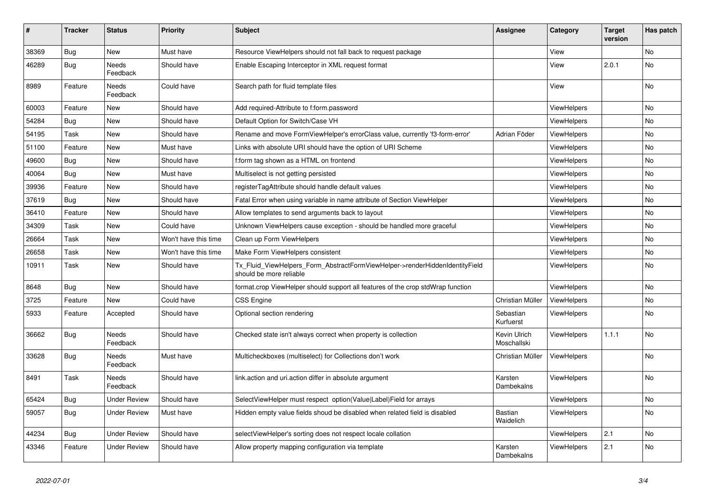| #     | <b>Tracker</b> | <b>Status</b>       | <b>Priority</b>      | <b>Subject</b>                                                                                         | <b>Assignee</b>             | Category           | <b>Target</b><br>version | Has patch |
|-------|----------------|---------------------|----------------------|--------------------------------------------------------------------------------------------------------|-----------------------------|--------------------|--------------------------|-----------|
| 38369 | <b>Bug</b>     | <b>New</b>          | Must have            | Resource ViewHelpers should not fall back to request package                                           |                             | View               |                          | <b>No</b> |
| 46289 | Bug            | Needs<br>Feedback   | Should have          | Enable Escaping Interceptor in XML request format                                                      |                             | View               | 2.0.1                    | <b>No</b> |
| 8989  | Feature        | Needs<br>Feedback   | Could have           | Search path for fluid template files                                                                   |                             | View               |                          | No        |
| 60003 | Feature        | New                 | Should have          | Add required-Attribute to f:form.password                                                              |                             | <b>ViewHelpers</b> |                          | <b>No</b> |
| 54284 | Bug            | New                 | Should have          | Default Option for Switch/Case VH                                                                      |                             | <b>ViewHelpers</b> |                          | <b>No</b> |
| 54195 | Task           | New                 | Should have          | Rename and move FormViewHelper's errorClass value, currently 'f3-form-error'                           | Adrian Föder                | <b>ViewHelpers</b> |                          | No        |
| 51100 | Feature        | New                 | Must have            | Links with absolute URI should have the option of URI Scheme                                           |                             | <b>ViewHelpers</b> |                          | <b>No</b> |
| 49600 | Bug            | New                 | Should have          | f:form tag shown as a HTML on frontend                                                                 |                             | ViewHelpers        |                          | No        |
| 40064 | Bug            | New                 | Must have            | Multiselect is not getting persisted                                                                   |                             | ViewHelpers        |                          | <b>No</b> |
| 39936 | Feature        | New                 | Should have          | registerTagAttribute should handle default values                                                      |                             | <b>ViewHelpers</b> |                          | No        |
| 37619 | Bug            | New                 | Should have          | Fatal Error when using variable in name attribute of Section ViewHelper                                |                             | <b>ViewHelpers</b> |                          | <b>No</b> |
| 36410 | Feature        | New                 | Should have          | Allow templates to send arguments back to layout                                                       |                             | <b>ViewHelpers</b> |                          | No        |
| 34309 | Task           | New                 | Could have           | Unknown ViewHelpers cause exception - should be handled more graceful                                  |                             | ViewHelpers        |                          | No        |
| 26664 | Task           | New                 | Won't have this time | Clean up Form ViewHelpers                                                                              |                             | ViewHelpers        |                          | No        |
| 26658 | Task           | New                 | Won't have this time | Make Form ViewHelpers consistent                                                                       |                             | ViewHelpers        |                          | No.       |
| 10911 | Task           | New                 | Should have          | Tx Fluid ViewHelpers Form AbstractFormViewHelper->renderHiddenIdentityField<br>should be more reliable |                             | <b>ViewHelpers</b> |                          | <b>No</b> |
| 8648  | <b>Bug</b>     | New                 | Should have          | format.crop ViewHelper should support all features of the crop stdWrap function                        |                             | ViewHelpers        |                          | <b>No</b> |
| 3725  | Feature        | <b>New</b>          | Could have           | <b>CSS Engine</b>                                                                                      | Christian Müller            | <b>ViewHelpers</b> |                          | <b>No</b> |
| 5933  | Feature        | Accepted            | Should have          | Optional section rendering                                                                             | Sebastian<br>Kurfuerst      | <b>ViewHelpers</b> |                          | <b>No</b> |
| 36662 | <b>Bug</b>     | Needs<br>Feedback   | Should have          | Checked state isn't always correct when property is collection                                         | Kevin Ulrich<br>Moschallski | <b>ViewHelpers</b> | 1.1.1                    | No        |
| 33628 | Bug            | Needs<br>Feedback   | Must have            | Multicheckboxes (multiselect) for Collections don't work                                               | Christian Müller            | ViewHelpers        |                          | No        |
| 8491  | Task           | Needs<br>Feedback   | Should have          | link action and uri action differ in absolute argument                                                 | Karsten<br>Dambekalns       | ViewHelpers        |                          | <b>No</b> |
| 65424 | Bug            | <b>Under Review</b> | Should have          | SelectViewHelper must respect option(Value Label)Field for arrays                                      |                             | <b>ViewHelpers</b> |                          | <b>No</b> |
| 59057 | Bug            | <b>Under Review</b> | Must have            | Hidden empty value fields shoud be disabled when related field is disabled                             | <b>Bastian</b><br>Waidelich | <b>ViewHelpers</b> |                          | <b>No</b> |
| 44234 | <b>Bug</b>     | Under Review        | Should have          | selectViewHelper's sorting does not respect locale collation                                           |                             | ViewHelpers        | 2.1                      | No        |
| 43346 | Feature        | <b>Under Review</b> | Should have          | Allow property mapping configuration via template                                                      | Karsten<br>Dambekalns       | <b>ViewHelpers</b> | 2.1                      | No        |